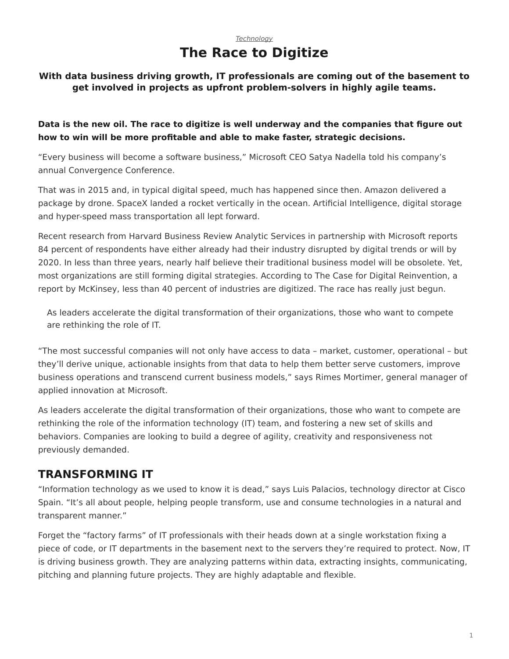## *[Technology](https://www.steelcase.com/asia-en/research/topics/technology/)* **The Race to Digitize**

#### **With data business driving growth, IT professionals are coming out of the basement to get involved in projects as upfront problem-solvers in highly agile teams.**

### **Data is the new oil. The race to digitize is well underway and the companies that figure out how to win will be more profitable and able to make faster, strategic decisions.**

"Every business will become a software business," Microsoft CEO Satya Nadella told his company's annual Convergence Conference.

That was in 2015 and, in typical digital speed, much has happened since then. Amazon delivered a package by drone. SpaceX landed a rocket vertically in the ocean. Artificial Intelligence, digital storage and hyper-speed mass transportation all lept forward.

Recent research from Harvard Business Review Analytic Services in partnership with Microsoft reports 84 percent of respondents have either already had their industry disrupted by digital trends or will by 2020. In less than three years, nearly half believe their traditional business model will be obsolete. Yet, most organizations are still forming digital strategies. According to The Case for Digital Reinvention, a report by McKinsey, less than 40 percent of industries are digitized. The race has really just begun.

As leaders accelerate the digital transformation of their organizations, those who want to compete are rethinking the role of IT.

"The most successful companies will not only have access to data – market, customer, operational – but they'll derive unique, actionable insights from that data to help them better serve customers, improve business operations and transcend current business models," says Rimes Mortimer, general manager of applied innovation at Microsoft.

As leaders accelerate the digital transformation of their organizations, those who want to compete are rethinking the role of the information technology (IT) team, and fostering a new set of skills and behaviors. Companies are looking to build a degree of agility, creativity and responsiveness not previously demanded.

## **TRANSFORMING IT**

"Information technology as we used to know it is dead," says Luis Palacios, technology director at Cisco Spain. "It's all about people, helping people transform, use and consume technologies in a natural and transparent manner."

Forget the "factory farms" of IT professionals with their heads down at a single workstation fixing a piece of code, or IT departments in the basement next to the servers they're required to protect. Now, IT is driving business growth. They are analyzing patterns within data, extracting insights, communicating, pitching and planning future projects. They are highly adaptable and flexible.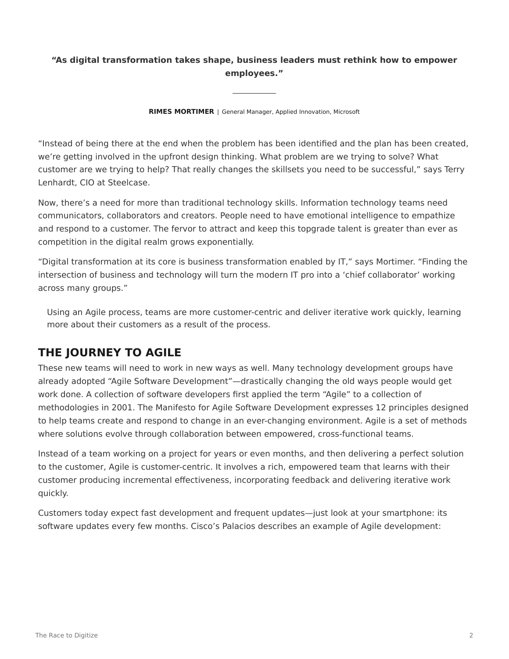## **"As digital transformation takes shape, business leaders must rethink how to empower employees."**

**RIMES MORTIMER** | General Manager, Applied Innovation, Microsoft

"Instead of being there at the end when the problem has been identified and the plan has been created, we're getting involved in the upfront design thinking. What problem are we trying to solve? What customer are we trying to help? That really changes the skillsets you need to be successful," says Terry Lenhardt, CIO at Steelcase.

Now, there's a need for more than traditional technology skills. Information technology teams need communicators, collaborators and creators. People need to have emotional intelligence to empathize and respond to a customer. The fervor to attract and keep this topgrade talent is greater than ever as competition in the digital realm grows exponentially.

"Digital transformation at its core is business transformation enabled by IT," says Mortimer. "Finding the intersection of business and technology will turn the modern IT pro into a 'chief collaborator' working across many groups."

Using an Agile process, teams are more customer-centric and deliver iterative work quickly, learning more about their customers as a result of the process.

# **THE JOURNEY TO AGILE**

These new teams will need to work in new ways as well. Many technology development groups have already adopted "Agile Software Development"—drastically changing the old ways people would get work done. A collection of software developers first applied the term "Agile" to a collection of methodologies in 2001. The Manifesto for Agile Software Development expresses 12 principles designed to help teams create and respond to change in an ever-changing environment. Agile is a set of methods where solutions evolve through collaboration between empowered, cross-functional teams.

Instead of a team working on a project for years or even months, and then delivering a perfect solution to the customer, Agile is customer-centric. It involves a rich, empowered team that learns with their customer producing incremental effectiveness, incorporating feedback and delivering iterative work quickly.

Customers today expect fast development and frequent updates—just look at your smartphone: its software updates every few months. Cisco's Palacios describes an example of Agile development: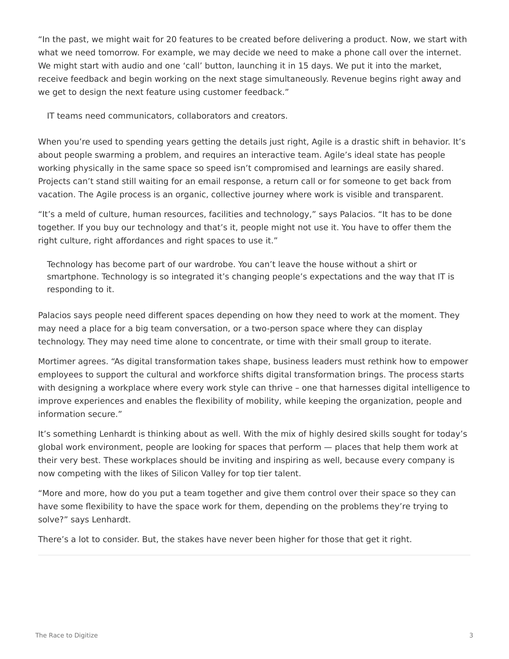"In the past, we might wait for 20 features to be created before delivering a product. Now, we start with what we need tomorrow. For example, we may decide we need to make a phone call over the internet. We might start with audio and one 'call' button, launching it in 15 days. We put it into the market, receive feedback and begin working on the next stage simultaneously. Revenue begins right away and we get to design the next feature using customer feedback."

IT teams need communicators, collaborators and creators.

When you're used to spending years getting the details just right, Agile is a drastic shift in behavior. It's about people swarming a problem, and requires an interactive team. Agile's ideal state has people working physically in the same space so speed isn't compromised and learnings are easily shared. Projects can't stand still waiting for an email response, a return call or for someone to get back from vacation. The Agile process is an organic, collective journey where work is visible and transparent.

"It's a meld of culture, human resources, facilities and technology," says Palacios. "It has to be done together. If you buy our technology and that's it, people might not use it. You have to offer them the right culture, right affordances and right spaces to use it."

Technology has become part of our wardrobe. You can't leave the house without a shirt or smartphone. Technology is so integrated it's changing people's expectations and the way that IT is responding to it.

Palacios says people need different spaces depending on how they need to work at the moment. They may need a place for a big team conversation, or a two-person space where they can display technology. They may need time alone to concentrate, or time with their small group to iterate.

Mortimer agrees. "As digital transformation takes shape, business leaders must rethink how to empower employees to support the cultural and workforce shifts digital transformation brings. The process starts with designing a workplace where every work style can thrive – one that harnesses digital intelligence to improve experiences and enables the flexibility of mobility, while keeping the organization, people and information secure."

It's something Lenhardt is thinking about as well. With the mix of highly desired skills sought for today's global work environment, people are looking for spaces that perform — places that help them work at their very best. These workplaces should be inviting and inspiring as well, because every company is now competing with the likes of Silicon Valley for top tier talent.

"More and more, how do you put a team together and give them control over their space so they can have some flexibility to have the space work for them, depending on the problems they're trying to solve?" says Lenhardt.

There's a lot to consider. But, the stakes have never been higher for those that get it right.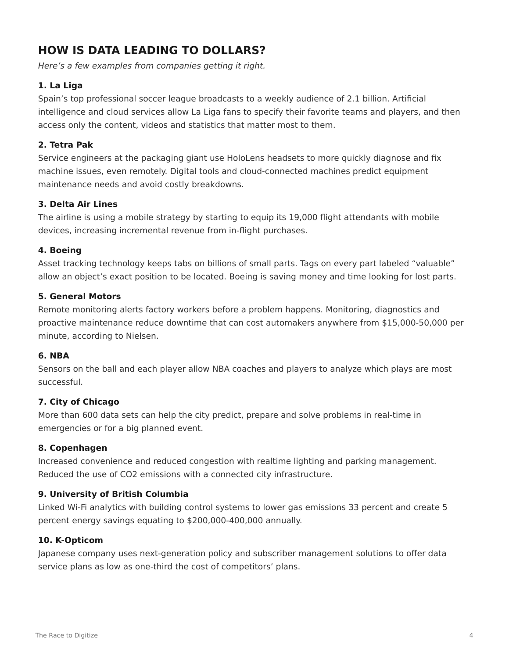# **HOW IS DATA LEADING TO DOLLARS?**

*Here's a few examples from companies getting it right.*

#### **1. La Liga**

Spain's top professional soccer league broadcasts to a weekly audience of 2.1 billion. Artificial intelligence and cloud services allow La Liga fans to specify their favorite teams and players, and then access only the content, videos and statistics that matter most to them.

#### **2. Tetra Pak**

Service engineers at the packaging giant use HoloLens headsets to more quickly diagnose and fix machine issues, even remotely. Digital tools and cloud-connected machines predict equipment maintenance needs and avoid costly breakdowns.

#### **3. Delta Air Lines**

The airline is using a mobile strategy by starting to equip its 19,000 flight attendants with mobile devices, increasing incremental revenue from in-flight purchases.

#### **4. Boeing**

Asset tracking technology keeps tabs on billions of small parts. Tags on every part labeled "valuable" allow an object's exact position to be located. Boeing is saving money and time looking for lost parts.

#### **5. General Motors**

Remote monitoring alerts factory workers before a problem happens. Monitoring, diagnostics and proactive maintenance reduce downtime that can cost automakers anywhere from \$15,000-50,000 per minute, according to Nielsen.

#### **6. NBA**

Sensors on the ball and each player allow NBA coaches and players to analyze which plays are most successful.

#### **7. City of Chicago**

More than 600 data sets can help the city predict, prepare and solve problems in real-time in emergencies or for a big planned event.

#### **8. Copenhagen**

Increased convenience and reduced congestion with realtime lighting and parking management. Reduced the use of CO2 emissions with a connected city infrastructure.

#### **9. University of British Columbia**

Linked Wi-Fi analytics with building control systems to lower gas emissions 33 percent and create 5 percent energy savings equating to \$200,000-400,000 annually.

#### **10. K-Opticom**

Japanese company uses next-generation policy and subscriber management solutions to offer data service plans as low as one-third the cost of competitors' plans.